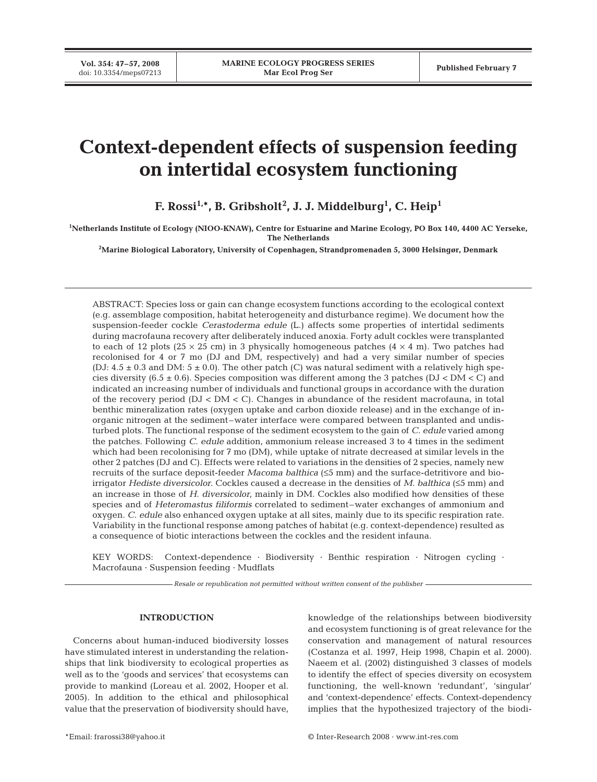**Vol. 354: 47–57, 2008**

# **Context-dependent effects of suspension feeding on intertidal ecosystem functioning**

**F. Rossi1,\*, B. Gribsholt2 , J. J. Middelburg1 , C. Heip1**

**1 Netherlands Institute of Ecology (NIOO-KNAW), Centre for Estuarine and Marine Ecology, PO Box 140, 4400 AC Yerseke, The Netherlands**

**2 Marine Biological Laboratory, University of Copenhagen, Strandpromenaden 5, 3000 Helsingør, Denmark**

ABSTRACT: Species loss or gain can change ecosystem functions according to the ecological context (e.g. assemblage composition, habitat heterogeneity and disturbance regime). We document how the suspension-feeder cockle *Cerastoderma edule* (L.) affects some properties of intertidal sediments during macrofauna recovery after deliberately induced anoxia. Forty adult cockles were transplanted to each of 12 plots ( $25 \times 25$  cm) in 3 physically homogeneous patches ( $4 \times 4$  m). Two patches had recolonised for 4 or 7 mo (DJ and DM, respectively) and had a very similar number of species (DJ:  $4.5 \pm 0.3$  and DM:  $5 \pm 0.0$ ). The other patch (C) was natural sediment with a relatively high species diversity (6.5  $\pm$  0.6). Species composition was different among the 3 patches (DJ < DM < C) and indicated an increasing number of individuals and functional groups in accordance with the duration of the recovery period  $(DJ < DM < C)$ . Changes in abundance of the resident macrofauna, in total benthic mineralization rates (oxygen uptake and carbon dioxide release) and in the exchange of inorganic nitrogen at the sediment–water interface were compared between transplanted and undisturbed plots. The functional response of the sediment ecosystem to the gain of *C. edule* varied among the patches. Following *C. edule* addition, ammonium release increased 3 to 4 times in the sediment which had been recolonising for 7 mo (DM), while uptake of nitrate decreased at similar levels in the other 2 patches (DJ and C). Effects were related to variations in the densities of 2 species, namely new recruits of the surface deposit-feeder *Macoma balthica* (≤5 mm) and the surface-detritivore and bioirrigator *Hediste diversicolor*. Cockles caused a decrease in the densities of *M. balthica* (≤5 mm) and an increase in those of *H. diversicolor*, mainly in DM. Cockles also modified how densities of these species and of *Heteromastus filiformis* correlated to sediment–water exchanges of ammonium and oxygen. *C. edule* also enhanced oxygen uptake at all sites, mainly due to its specific respiration rate. Variability in the functional response among patches of habitat (e.g. context-dependence) resulted as a consequence of biotic interactions between the cockles and the resident infauna.

KEY WORDS: Context-dependence · Biodiversity · Benthic respiration · Nitrogen cycling · Macrofauna · Suspension feeding · Mudflats

*Resale or republication not permitted without written consent of the publisher*

## **INTRODUCTION**

Concerns about human-induced biodiversity losses have stimulated interest in understanding the relationships that link biodiversity to ecological properties as well as to the 'goods and services' that ecosystems can provide to mankind (Loreau et al. 2002, Hooper et al. 2005). In addition to the ethical and philosophical value that the preservation of biodiversity should have, knowledge of the relationships between biodiversity and ecosystem functioning is of great relevance for the conservation and management of natural resources (Costanza et al. 1997, Heip 1998, Chapin et al. 2000). Naeem et al. (2002) distinguished 3 classes of models to identify the effect of species diversity on ecosystem functioning, the well-known 'redundant', 'singular' and 'context-dependence' effects. Context-dependency implies that the hypothesized trajectory of the biodi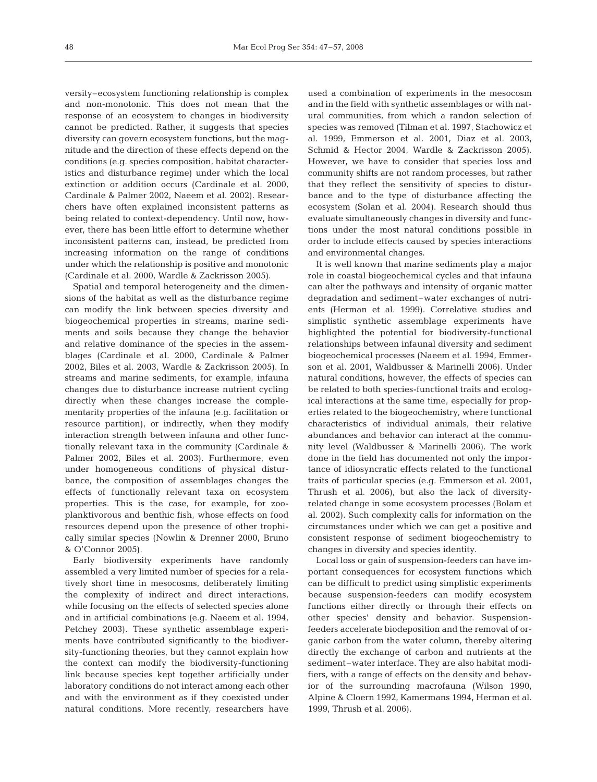versity–ecosystem functioning relationship is complex and non-monotonic. This does not mean that the response of an ecosystem to changes in biodiversity cannot be predicted. Rather, it suggests that species diversity can govern ecosystem functions, but the magnitude and the direction of these effects depend on the conditions (e.g. species composition, habitat characteristics and disturbance regime) under which the local extinction or addition occurs (Cardinale et al. 2000, Cardinale & Palmer 2002, Naeem et al. 2002). Researchers have often explained inconsistent patterns as being related to context-dependency. Until now, however, there has been little effort to determine whether inconsistent patterns can, instead, be predicted from increasing information on the range of conditions under which the relationship is positive and monotonic (Cardinale et al. 2000, Wardle & Zackrisson 2005).

Spatial and temporal heterogeneity and the dimensions of the habitat as well as the disturbance regime can modify the link between species diversity and biogeochemical properties in streams, marine sediments and soils because they change the behavior and relative dominance of the species in the assemblages (Cardinale et al. 2000, Cardinale & Palmer 2002, Biles et al. 2003, Wardle & Zackrisson 2005). In streams and marine sediments, for example, infauna changes due to disturbance increase nutrient cycling directly when these changes increase the complementarity properties of the infauna (e.g. facilitation or resource partition), or indirectly, when they modify interaction strength between infauna and other functionally relevant taxa in the community (Cardinale & Palmer 2002, Biles et al. 2003). Furthermore, even under homogeneous conditions of physical disturbance, the composition of assemblages changes the effects of functionally relevant taxa on ecosystem properties. This is the case, for example, for zooplanktivorous and benthic fish, whose effects on food resources depend upon the presence of other trophically similar species (Nowlin & Drenner 2000, Bruno & O'Connor 2005).

Early biodiversity experiments have randomly assembled a very limited number of species for a relatively short time in mesocosms, deliberately limiting the complexity of indirect and direct interactions, while focusing on the effects of selected species alone and in artificial combinations (e.g. Naeem et al. 1994, Petchey 2003). These synthetic assemblage experiments have contributed significantly to the biodiversity-functioning theories, but they cannot explain how the context can modify the biodiversity-functioning link because species kept together artificially under laboratory conditions do not interact among each other and with the environment as if they coexisted under natural conditions. More recently, researchers have

used a combination of experiments in the mesocosm and in the field with synthetic assemblages or with natural communities, from which a randon selection of species was removed (Tilman et al. 1997, Stachowicz et al. 1999, Emmerson et al. 2001, Diaz et al. 2003, Schmid & Hector 2004, Wardle & Zackrisson 2005). However, we have to consider that species loss and community shifts are not random processes, but rather that they reflect the sensitivity of species to disturbance and to the type of disturbance affecting the ecosystem (Solan et al. 2004). Research should thus evaluate simultaneously changes in diversity and functions under the most natural conditions possible in order to include effects caused by species interactions and environmental changes.

It is well known that marine sediments play a major role in coastal biogeochemical cycles and that infauna can alter the pathways and intensity of organic matter degradation and sediment–water exchanges of nutrients (Herman et al. 1999). Correlative studies and simplistic synthetic assemblage experiments have highlighted the potential for biodiversity-functional relationships between infaunal diversity and sediment biogeochemical processes (Naeem et al. 1994, Emmerson et al. 2001, Waldbusser & Marinelli 2006). Under natural conditions, however, the effects of species can be related to both species-functional traits and ecological interactions at the same time, especially for properties related to the biogeochemistry, where functional characteristics of individual animals, their relative abundances and behavior can interact at the community level (Waldbusser & Marinelli 2006). The work done in the field has documented not only the importance of idiosyncratic effects related to the functional traits of particular species (e.g. Emmerson et al. 2001, Thrush et al. 2006), but also the lack of diversityrelated change in some ecosystem processes (Bolam et al. 2002). Such complexity calls for information on the circumstances under which we can get a positive and consistent response of sediment biogeochemistry to changes in diversity and species identity.

Local loss or gain of suspension-feeders can have important consequences for ecosystem functions which can be difficult to predict using simplistic experiments because suspension-feeders can modify ecosystem functions either directly or through their effects on other species' density and behavior. Suspensionfeeders accelerate biodeposition and the removal of organic carbon from the water column, thereby altering directly the exchange of carbon and nutrients at the sediment–water interface. They are also habitat modifiers, with a range of effects on the density and behavior of the surrounding macrofauna (Wilson 1990, Alpine & Cloern 1992, Kamermans 1994, Herman et al. 1999, Thrush et al. 2006).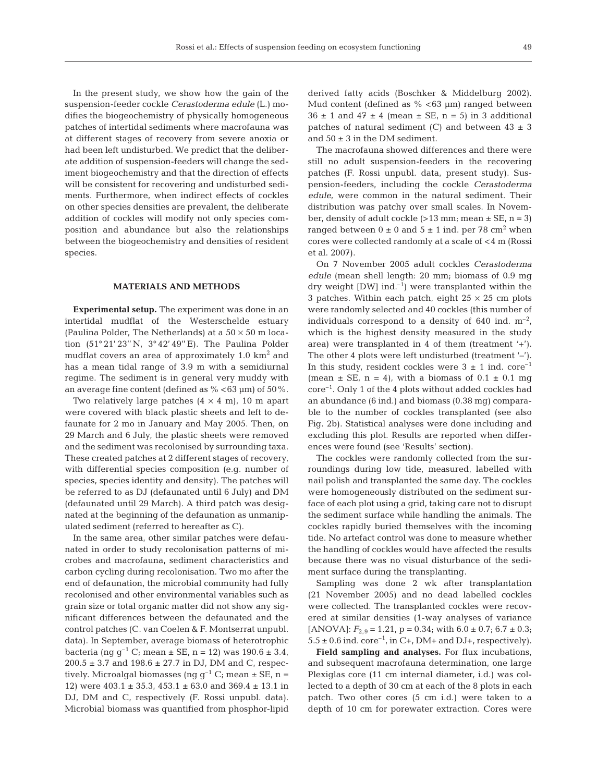In the present study, we show how the gain of the suspension-feeder cockle *Cerastoderma edule* (L.) modifies the biogeochemistry of physically homogeneous patches of intertidal sediments where macrofauna was at different stages of recovery from severe anoxia or had been left undisturbed. We predict that the deliberate addition of suspension-feeders will change the sediment biogeochemistry and that the direction of effects will be consistent for recovering and undisturbed sediments. Furthermore, when indirect effects of cockles on other species densities are prevalent, the deliberate addition of cockles will modify not only species composition and abundance but also the relationships between the biogeochemistry and densities of resident species.

## **MATERIALS AND METHODS**

**Experimental setup.** The experiment was done in an intertidal mudflat of the Westerschelde estuary (Paulina Polder, The Netherlands) at a  $50 \times 50$  m location (51° 21' 23'' N, 3° 42' 49'' E). The Paulina Polder mudflat covers an area of approximately  $1.0 \text{ km}^2$  and has a mean tidal range of 3.9 m with a semidiurnal regime. The sediment is in general very muddy with an average fine content (defined as  $% < 63 \mu m$ ) of  $50\%$ .

Two relatively large patches  $(4 \times 4 \text{ m})$ , 10 m apart were covered with black plastic sheets and left to defaunate for 2 mo in January and May 2005. Then, on 29 March and 6 July, the plastic sheets were removed and the sediment was recolonised by surrounding taxa. These created patches at 2 different stages of recovery, with differential species composition (e.g. number of species, species identity and density). The patches will be referred to as DJ (defaunated until 6 July) and DM (defaunated until 29 March). A third patch was designated at the beginning of the defaunation as unmanipulated sediment (referred to hereafter as C).

In the same area, other similar patches were defaunated in order to study recolonisation patterns of microbes and macrofauna, sediment characteristics and carbon cycling during recolonisation. Two mo after the end of defaunation, the microbial community had fully recolonised and other environmental variables such as grain size or total organic matter did not show any significant differences between the defaunated and the control patches (C. van Coelen & F. Montserrat unpubl. data). In September, average biomass of heterotrophic bacteria (ng  $g^{-1}$  C; mean  $\pm$  SE, n = 12) was 190.6  $\pm$  3.4,  $200.5 \pm 3.7$  and  $198.6 \pm 27.7$  in DJ, DM and C, respectively. Microalgal biomasses (ng  $g^{-1}$  C; mean  $\pm$  SE, n = 12) were 403.1 ± 35.3, 453.1 ± 63.0 and 369.4 ± 13.1 in DJ, DM and C, respectively (F. Rossi unpubl. data). Microbial biomass was quantified from phosphor-lipid derived fatty acids (Boschker & Middelburg 2002). Mud content (defined as  $\%$  <63 µm) ranged between  $36 \pm 1$  and  $47 \pm 4$  (mean  $\pm$  SE, n = 5) in 3 additional patches of natural sediment (C) and between  $43 \pm 3$ and  $50 \pm 3$  in the DM sediment.

The macrofauna showed differences and there were still no adult suspension-feeders in the recovering patches (F. Rossi unpubl. data, present study). Suspension-feeders, including the cockle *Cerastoderma edule*, were common in the natural sediment. Their distribution was patchy over small scales. In November, density of adult cockle  $(>13$  mm; mean  $\pm$  SE, n = 3) ranged between  $0 \pm 0$  and  $5 \pm 1$  ind. per 78 cm<sup>2</sup> when cores were collected randomly at a scale of <4 m (Rossi et al. 2007).

On 7 November 2005 adult cockles *Cerastoderma edule* (mean shell length: 20 mm; biomass of 0.9 mg dry weight  $[DW]$  ind.<sup>-1</sup>) were transplanted within the 3 patches. Within each patch, eight  $25 \times 25$  cm plots were randomly selected and 40 cockles (this number of individuals correspond to a density of 640 ind.  $m^{-2}$ , which is the highest density measured in the study area) were transplanted in 4 of them (treatment '+'). The other 4 plots were left undisturbed (treatment '–'). In this study, resident cockles were  $3 \pm 1$  ind. core<sup>-1</sup> (mean  $\pm$  SE, n = 4), with a biomass of 0.1  $\pm$  0.1 mg core–1. Only 1 of the 4 plots without added cockles had an abundance (6 ind.) and biomass (0.38 mg) comparable to the number of cockles transplanted (see also Fig. 2b). Statistical analyses were done including and excluding this plot. Results are reported when differences were found (see 'Results' section).

The cockles were randomly collected from the surroundings during low tide, measured, labelled with nail polish and transplanted the same day. The cockles were homogeneously distributed on the sediment surface of each plot using a grid, taking care not to disrupt the sediment surface while handling the animals. The cockles rapidly buried themselves with the incoming tide. No artefact control was done to measure whether the handling of cockles would have affected the results because there was no visual disturbance of the sediment surface during the transplanting.

Sampling was done 2 wk after transplantation (21 November 2005) and no dead labelled cockles were collected. The transplanted cockles were recovered at similar densities (1-way analyses of variance [ANOVA]:  $F_{2,9} = 1.21$ ,  $p = 0.34$ ; with  $6.0 \pm 0.7$ ;  $6.7 \pm 0.3$ ;  $5.5 \pm 0.6$  ind. core<sup>-1</sup>, in C+, DM+ and DJ+, respectively).

**Field sampling and analyses.** For flux incubations, and subsequent macrofauna determination, one large Plexiglas core (11 cm internal diameter, i.d.) was collected to a depth of 30 cm at each of the 8 plots in each patch. Two other cores (5 cm i.d.) were taken to a depth of 10 cm for porewater extraction. Cores were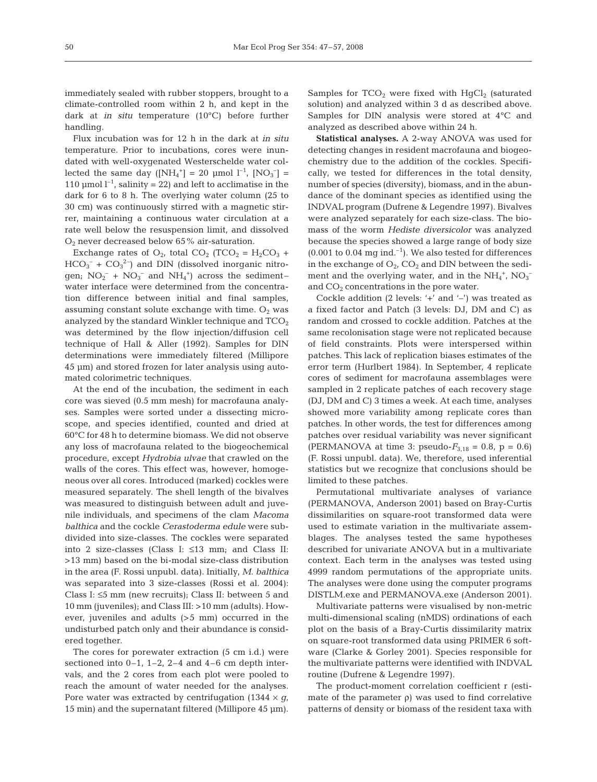immediately sealed with rubber stoppers, brought to a climate-controlled room within 2 h, and kept in the dark at *in situ* temperature (10°C) before further handling.

Flux incubation was for 12 h in the dark at *in situ* temperature. Prior to incubations, cores were inundated with well-oxygenated Westerschelde water collected the same day ( $[NH_4^+] = 20 \text{ } \mu \text{mol } l^{-1}$ ,  $[NO_3^-] =$ 110 µmol  $l^{-1}$ , salinity = 22) and left to acclimatise in the dark for 6 to 8 h. The overlying water column (25 to 30 cm) was continuously stirred with a magnetic stirrer, maintaining a continuous water circulation at a rate well below the resuspension limit, and dissolved  $O_2$  never decreased below 65% air-saturation.

Exchange rates of  $O_2$ , total  $CO_2$  (TCO<sub>2</sub> = H<sub>2</sub>CO<sub>3</sub> +  $HCO_3^- + CO_3^2$  and DIN (dissolved inorganic nitrogen;  $NO_2^-$  +  $NO_3^-$  and  $NH_4^+$ ) across the sedimentwater interface were determined from the concentration difference between initial and final samples, assuming constant solute exchange with time.  $O_2$  was analyzed by the standard Winkler technique and  $TCO<sub>2</sub>$ was determined by the flow injection/diffusion cell technique of Hall & Aller (1992). Samples for DIN determinations were immediately filtered (Millipore 45 µm) and stored frozen for later analysis using automated colorimetric techniques.

At the end of the incubation, the sediment in each core was sieved (0.5 mm mesh) for macrofauna analyses. Samples were sorted under a dissecting microscope, and species identified, counted and dried at 60°C for 48 h to determine biomass. We did not observe any loss of macrofauna related to the biogeochemical procedure, except *Hydrobia ulvae* that crawled on the walls of the cores. This effect was, however, homogeneous over all cores. Introduced (marked) cockles were measured separately. The shell length of the bivalves was measured to distinguish between adult and juvenile individuals, and specimens of the clam *Macoma balthica* and the cockle *Cerastoderma edule* were subdivided into size-classes. The cockles were separated into 2 size-classes (Class I: ≤13 mm; and Class II: >13 mm) based on the bi-modal size-class distribution in the area (F. Rossi unpubl. data). Initially, *M. balthica* was separated into 3 size-classes (Rossi et al. 2004): Class I: ≤5 mm (new recruits); Class II: between 5 and 10 mm (juveniles); and Class III: >10 mm (adults). However, juveniles and adults (>5 mm) occurred in the undisturbed patch only and their abundance is considered together.

The cores for porewater extraction (5 cm i.d.) were sectioned into  $0-1$ ,  $1-2$ ,  $2-4$  and  $4-6$  cm depth intervals, and the 2 cores from each plot were pooled to reach the amount of water needed for the analyses. Pore water was extracted by centrifugation (1344  $\times$  *g*, 15 min) and the supernatant filtered (Millipore 45 µm). Samples for  $TCO<sub>2</sub>$  were fixed with  $HgCl<sub>2</sub>$  (saturated solution) and analyzed within 3 d as described above. Samples for DIN analysis were stored at 4°C and analyzed as described above within 24 h.

**Statistical analyses.** A 2-way ANOVA was used for detecting changes in resident macrofauna and biogeochemistry due to the addition of the cockles. Specifically, we tested for differences in the total density, number of species (diversity), biomass, and in the abundance of the dominant species as identified using the INDVAL program (Dufrene & Legendre 1997). Bivalves were analyzed separately for each size-class. The biomass of the worm *Hediste diversicolor* was analyzed because the species showed a large range of body size  $(0.001 \text{ to } 0.04 \text{ mg ind.}^{-1})$ . We also tested for differences in the exchange of  $O_2$ ,  $CO_2$  and DIN between the sediment and the overlying water, and in the  $NH_4^+$ ,  $NO_3^$ and  $CO<sub>2</sub>$  concentrations in the pore water.

Cockle addition (2 levels: '+' and '–') was treated as a fixed factor and Patch (3 levels: DJ, DM and C) as random and crossed to cockle addition. Patches at the same recolonisation stage were not replicated because of field constraints. Plots were interspersed within patches. This lack of replication biases estimates of the error term (Hurlbert 1984). In September, 4 replicate cores of sediment for macrofauna assemblages were sampled in 2 replicate patches of each recovery stage (DJ, DM and C) 3 times a week. At each time, analyses showed more variability among replicate cores than patches. In other words, the test for differences among patches over residual variability was never significant (PERMANOVA at time 3: pseudo- $F_{3,18} = 0.8$ , p = 0.6) (F. Rossi unpubl. data). We, therefore, used inferential statistics but we recognize that conclusions should be limited to these patches.

Permutational multivariate analyses of variance (PERMANOVA, Anderson 2001) based on Bray-Curtis dissimilarities on square-root transformed data were used to estimate variation in the multivariate assemblages. The analyses tested the same hypotheses described for univariate ANOVA but in a multivariate context. Each term in the analyses was tested using 4999 random permutations of the appropriate units. The analyses were done using the computer programs DISTLM.exe and PERMANOVA.exe (Anderson 2001).

Multivariate patterns were visualised by non-metric multi-dimensional scaling (nMDS) ordinations of each plot on the basis of a Bray-Curtis dissimilarity matrix on square-root transformed data using PRIMER 6 software (Clarke & Gorley 2001). Species responsible for the multivariate patterns were identified with INDVAL routine (Dufrene & Legendre 1997).

The product-moment correlation coefficient r (estimate of the parameter  $ρ$ ) was used to find correlative patterns of density or biomass of the resident taxa with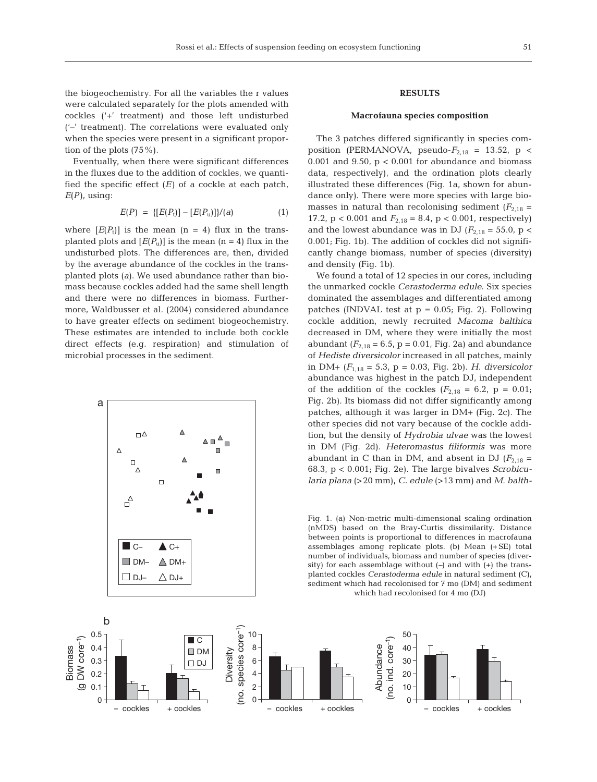the biogeochemistry. For all the variables the r values were calculated separately for the plots amended with cockles ('+' treatment) and those left undisturbed ('–' treatment). The correlations were evaluated only when the species were present in a significant proportion of the plots (75%).

Eventually, when there were significant differences in the fluxes due to the addition of cockles, we quantified the specific effect  $(E)$  of a cockle at each patch,  $E(P)$ , using:

$$
E(P) = \{ [E(P_t)] - [E(P_u)] \}/(a) \tag{1}
$$

where  $[E(P_t)]$  is the mean  $(n = 4)$  flux in the transplanted plots and  $[E(P_u)]$  is the mean (n = 4) flux in the undisturbed plots. The differences are, then, divided by the average abundance of the cockles in the transplanted plots (*a*). We used abundance rather than biomass because cockles added had the same shell length and there were no differences in biomass. Furthermore, Waldbusser et al. (2004) considered abundance to have greater effects on sediment biogeochemistry. These estimates are intended to include both cockle direct effects (e.g. respiration) and stimulation of microbial processes in the sediment.



## **RESULTS**

## **Macrofauna species composition**

The 3 patches differed significantly in species composition (PERMANOVA, pseudo- $F_{2,18}$  = 13.52, p < 0.001 and 9.50,  $p < 0.001$  for abundance and biomass data, respectively), and the ordination plots clearly illustrated these differences (Fig. 1a, shown for abundance only). There were more species with large biomasses in natural than recolonising sediment  $(F_{2,18} =$ 17.2,  $p < 0.001$  and  $F_{2,18} = 8.4$ ,  $p < 0.001$ , respectively) and the lowest abundance was in DJ ( $F_{2,18} = 55.0$ , p < 0.001; Fig. 1b). The addition of cockles did not significantly change biomass, number of species (diversity) and density (Fig. 1b).

We found a total of 12 species in our cores, including the unmarked cockle *Cerastoderma edule*. Six species dominated the assemblages and differentiated among patches (INDVAL test at  $p = 0.05$ ; Fig. 2). Following cockle addition, newly recruited *Macoma balthica* decreased in DM, where they were initially the most abundant  $(F_{2,18} = 6.5, p = 0.01, Fig. 2a)$  and abundance of *Hediste diversicolor* increased in all patches, mainly in DM+ (*F*1,18 = 5.3, p = 0.03, Fig. 2b). *H. diversicolor* abundance was highest in the patch DJ, independent of the addition of the cockles  $(F_{2,18} = 6.2, p = 0.01;$ Fig. 2b). Its biomass did not differ significantly among patches, although it was larger in DM+ (Fig. 2c). The other species did not vary because of the cockle addition, but the density of *Hydrobia ulvae* was the lowest in DM (Fig. 2d). *Heteromastus filiformis* was more abundant in C than in DM, and absent in DJ  $(F_{2,18} =$ 68.3, p < 0.001; Fig. 2e). The large bivalves *Scrobicularia plana* (>20 mm), *C. edule* (>13 mm) and *M. balth-*

Fig. 1. (a) Non-metric multi-dimensional scaling ordination (nMDS) based on the Bray-Curtis dissimilarity. Distance between points is proportional to differences in macrofauna assemblages among replicate plots. (b) Mean (+SE) total number of individuals, biomass and number of species (diversity) for each assemblage without (*–*) and with (+) the transplanted cockles *Cerastoderma edule* in natural sediment (C), sediment which had recolonised for 7 mo (DM) and sediment which had recolonised for 4 mo (DJ)

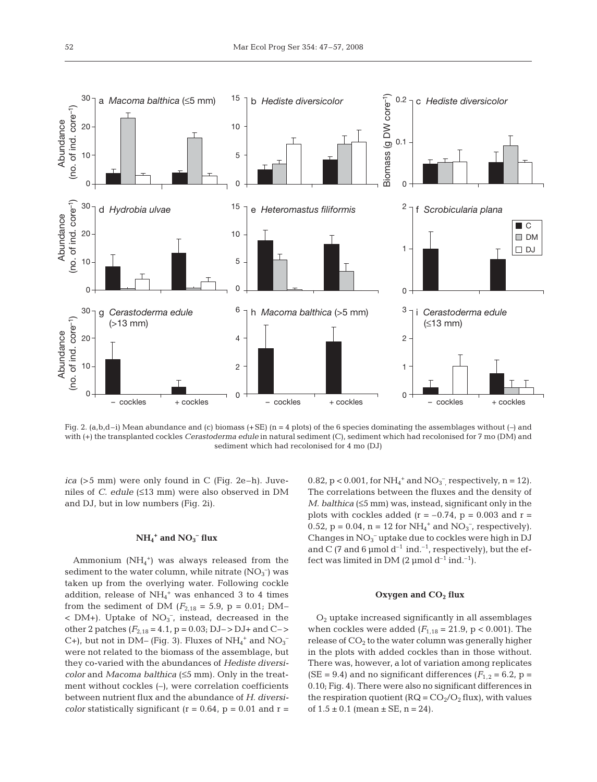

Fig. 2. (a,b,d–i) Mean abundance and (c) biomass (+SE) (n = 4 plots) of the 6 species dominating the assemblages without (*–*) and with (+) the transplanted cockles *Cerastoderma edule* in natural sediment (C), sediment which had recolonised for 7 mo (DM) and sediment which had recolonised for 4 mo (DJ)

*ica* (>5 mm) were only found in C (Fig. 2e–h). Juveniles of *C. edule* (≤13 mm) were also observed in DM and DJ, but in low numbers (Fig. 2i).

# $NH_4$ <sup>+</sup> and  $NO_3$ <sup>–</sup> flux

Ammonium  $(NH_4^+)$  was always released from the sediment to the water column, while nitrate  $(\text{NO}_3^-)$  was taken up from the overlying water. Following cockle addition, release of NH<sub>4</sub><sup>+</sup> was enhanced 3 to 4 times from the sediment of DM ( $F_{2,18} = 5.9$ , p = 0.01; DM–  $<$  DM+). Uptake of NO<sub>3</sub><sup>-</sup>, instead, decreased in the other 2 patches  $(F_{2,18} = 4.1, p = 0.03; DJ->DJ+$  and C-> C+), but not in DM– (Fig. 3). Fluxes of  $NH_4^+$  and  $NO_3^$ were not related to the biomass of the assemblage, but they co-varied with the abundances of *Hediste diversicolor* and *Macoma balthica* (≤5 mm). Only in the treatment without cockles (–), were correlation coefficients between nutrient flux and the abundance of *H. diversicolor* statistically significant ( $r = 0.64$ ,  $p = 0.01$  and  $r =$  0.82,  $p < 0.001$ , for  $NH_4^+$  and  $NO_3^-$ , respectively,  $n = 12$ ). The correlations between the fluxes and the density of *M. balthica* (≤5 mm) was, instead, significant only in the plots with cockles added ( $r = -0.74$ ,  $p = 0.003$  and  $r =$ 0.52,  $p = 0.04$ ,  $n = 12$  for  $NH_4^+$  and  $NO_3^-$ , respectively). Changes in  $NO<sub>3</sub><sup>-</sup>$  uptake due to cockles were high in DJ and C (7 and 6 µmol  $d^{-1}$  ind.<sup>-1</sup>, respectively), but the effect was limited in DM  $(2 \mu \text{mol d}^{-1} \text{ind.}^{-1}).$ 

## Oxygen and CO<sub>2</sub> flux

O2 uptake increased significantly in all assemblages when cockles were added  $(F_{1,18} = 21.9, p < 0.001)$ . The release of  $CO<sub>2</sub>$  to the water column was generally higher in the plots with added cockles than in those without. There was, however, a lot of variation among replicates (SE = 9.4) and no significant differences ( $F_{1,2}$  = 6.2, p = 0.10; Fig. 4). There were also no significant differences in the respiration quotient ( $RQ = CO_2/O_2$  flux), with values of  $1.5 \pm 0.1$  (mean  $\pm$  SE, n = 24).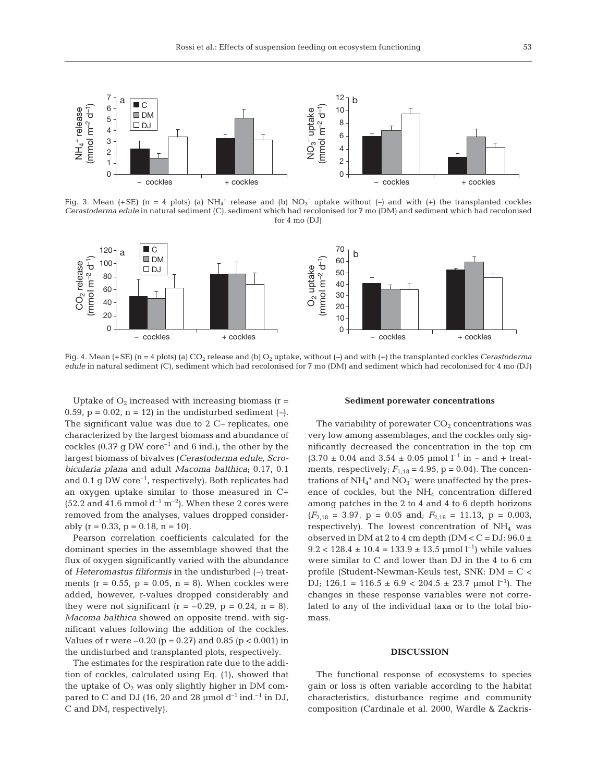

Fig. 3. Mean (+SE) (n = 4 plots) (a)  $NH_4^+$  release and (b)  $NO_3^-$  uptake without (–) and with (+) the transplanted cockles *Cerastoderma edule* in natural sediment (C), sediment which had recolonised for 7 mo (DM) and sediment which had recolonised for 4 mo (DJ)



Fig. 4. Mean (+SE) (n = 4 plots) (a)  $CO_2$  release and (b)  $O_2$  uptake, without (-) and with (+) the transplanted cockles *Cerastoderma edule* in natural sediment (C), sediment which had recolonised for 7 mo (DM) and sediment which had recolonised for 4 mo (DJ)

Uptake of  $O_2$  increased with increasing biomass ( $r =$ 0.59,  $p = 0.02$ ,  $n = 12$ ) in the undisturbed sediment (-). The significant value was due to 2 C*–* replicates, one characterized by the largest biomass and abundance of cockles (0.37  $\sigma$  DW core<sup>-1</sup> and 6 ind.), the other by the largest biomass of bivalves (*Cerastoderma edule*, *Scrobicularia plana* and adult *Macoma balthica*; 0.17, 0.1 and 0.1 g DW core<sup>-1</sup>, respectively). Both replicates had an oxygen uptake similar to those measured in C+ (52.2 and 41.6 mmol  $d^{-1}$  m<sup>-2</sup>). When these 2 cores were removed from the analyses, values dropped considerably  $(r = 0.33, p = 0.18, n = 10)$ .

Pearson correlation coefficients calculated for the dominant species in the assemblage showed that the flux of oxygen significantly varied with the abundance of *Heteromastus filiformis* in the undisturbed (*–*) treatments ( $r = 0.55$ ,  $p = 0.05$ ,  $n = 8$ ). When cockles were added, however, r-values dropped considerably and they were not significant ( $r = -0.29$ ,  $p = 0.24$ ,  $n = 8$ ). *Macoma balthica* showed an opposite trend, with significant values following the addition of the cockles. Values of r were  $-0.20$  (p = 0.27) and 0.85 (p < 0.001) in the undisturbed and transplanted plots, respectively.

The estimates for the respiration rate due to the addition of cockles, calculated using Eq. (1), showed that the uptake of  $O_2$  was only slightly higher in DM compared to C and DJ (16, 20 and 28 µmol  $d^{-1}$  ind.<sup>-1</sup> in DJ, C and DM, respectively).

#### **Sediment porewater concentrations**

The variability of porewater  $CO<sub>2</sub>$  concentrations was very low among assemblages, and the cockles only significantly decreased the concentration in the top cm  $(3.70 \pm 0.04$  and  $3.54 \pm 0.05$  µmol  $l^{-1}$  in  $-$  and  $+$  treatments, respectively;  $F_{1,18} = 4.95$ ,  $p = 0.04$ ). The concentrations of  $NH_4^+$  and  $NO_3^-$  were unaffected by the presence of cockles, but the  $NH<sub>4</sub>$  concentration differed among patches in the 2 to 4 and 4 to 6 depth horizons  $(F_{2,18} = 3.97, p = 0.05 \text{ and}; F_{2,18} = 11.13, p = 0.003,$ respectively). The lowest concentration of  $NH<sub>4</sub>$  was observed in DM at 2 to 4 cm depth (DM <  $C = DJ$ : 96.0  $\pm$  $9.2 < 128.4 \pm 10.4 = 133.9 \pm 13.5$  µmol  $l^{-1}$ ) while values were similar to C and lower than DJ in the 4 to 6 cm profile (Student-Newman-Keuls test, SNK: DM = C < DJ; 126.1 = 116.5  $\pm$  6.9 < 204.5  $\pm$  23.7 µmol l<sup>-1</sup>). The changes in these response variables were not correlated to any of the individual taxa or to the total biomass.

#### **DISCUSSION**

The functional response of ecosystems to species gain or loss is often variable according to the habitat characteristics, disturbance regime and community composition (Cardinale et al. 2000, Wardle & Zackris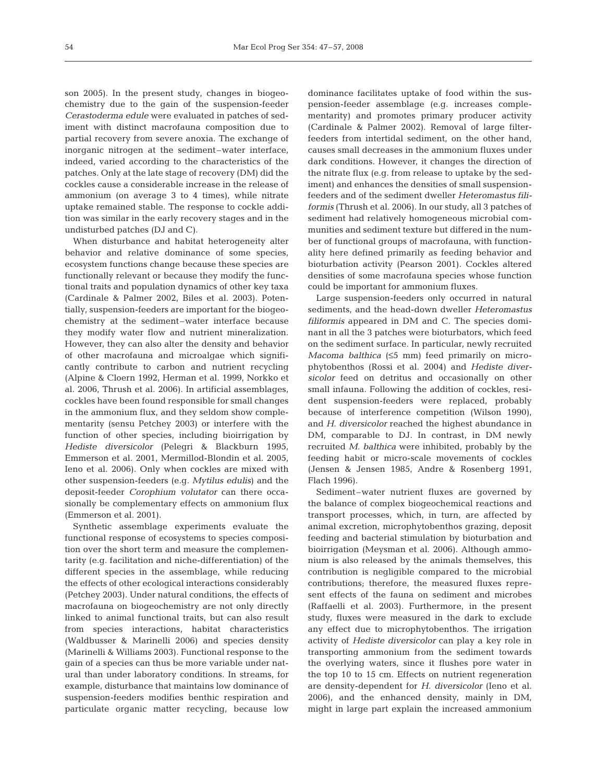son 2005). In the present study, changes in biogeochemistry due to the gain of the suspension-feeder *Cerastoderma edule* were evaluated in patches of sediment with distinct macrofauna composition due to partial recovery from severe anoxia. The exchange of inorganic nitrogen at the sediment–water interface, indeed, varied according to the characteristics of the patches. Only at the late stage of recovery (DM) did the cockles cause a considerable increase in the release of ammonium (on average 3 to 4 times), while nitrate uptake remained stable. The response to cockle addition was similar in the early recovery stages and in the undisturbed patches (DJ and C).

When disturbance and habitat heterogeneity alter behavior and relative dominance of some species, ecosystem functions change because these species are functionally relevant or because they modify the functional traits and population dynamics of other key taxa (Cardinale & Palmer 2002, Biles et al. 2003). Potentially, suspension-feeders are important for the biogeochemistry at the sediment–water interface because they modify water flow and nutrient mineralization. However, they can also alter the density and behavior of other macrofauna and microalgae which significantly contribute to carbon and nutrient recycling (Alpine & Cloern 1992, Herman et al. 1999, Norkko et al. 2006, Thrush et al. 2006). In artificial assemblages, cockles have been found responsible for small changes in the ammonium flux, and they seldom show complementarity (sensu Petchey 2003) or interfere with the function of other species, including bioirrigation by *Hediste diversicolor* (Pelegri & Blackburn 1995, Emmerson et al. 2001, Mermillod-Blondin et al. 2005, Ieno et al. 2006). Only when cockles are mixed with other suspension-feeders (e.g. *Mytilus edulis*) and the deposit-feeder *Corophium volutator* can there occasionally be complementary effects on ammonium flux (Emmerson et al. 2001).

Synthetic assemblage experiments evaluate the functional response of ecosystems to species composition over the short term and measure the complementarity (e.g. facilitation and niche-differentiation) of the different species in the assemblage, while reducing the effects of other ecological interactions considerably (Petchey 2003). Under natural conditions, the effects of macrofauna on biogeochemistry are not only directly linked to animal functional traits, but can also result from species interactions, habitat characteristics (Waldbusser & Marinelli 2006) and species density (Marinelli & Williams 2003). Functional response to the gain of a species can thus be more variable under natural than under laboratory conditions. In streams, for example, disturbance that maintains low dominance of suspension-feeders modifies benthic respiration and particulate organic matter recycling, because low

dominance facilitates uptake of food within the suspension-feeder assemblage (e.g. increases complementarity) and promotes primary producer activity (Cardinale & Palmer 2002). Removal of large filterfeeders from intertidal sediment, on the other hand, causes small decreases in the ammonium fluxes under dark conditions. However, it changes the direction of the nitrate flux (e.g. from release to uptake by the sediment) and enhances the densities of small suspensionfeeders and of the sediment dweller *Heteromastus filiformis* (Thrush et al. 2006). In our study, all 3 patches of sediment had relatively homogeneous microbial communities and sediment texture but differed in the number of functional groups of macrofauna, with functionality here defined primarily as feeding behavior and bioturbation activity (Pearson 2001). Cockles altered densities of some macrofauna species whose function could be important for ammonium fluxes.

Large suspension-feeders only occurred in natural sediments, and the head-down dweller *Heteromastus filiformis* appeared in DM and C. The species dominant in all the 3 patches were bioturbators, which feed on the sediment surface. In particular, newly recruited *Macoma balthica* (≤5 mm) feed primarily on microphytobenthos (Rossi et al. 2004) and *Hediste diversicolor* feed on detritus and occasionally on other small infauna. Following the addition of cockles, resident suspension-feeders were replaced, probably because of interference competition (Wilson 1990), and *H. diversicolor* reached the highest abundance in DM, comparable to DJ. In contrast, in DM newly recruited *M. balthica* were inhibited, probably by the feeding habit or micro-scale movements of cockles (Jensen & Jensen 1985, Andre & Rosenberg 1991, Flach 1996).

Sediment–water nutrient fluxes are governed by the balance of complex biogeochemical reactions and transport processes, which, in turn, are affected by animal excretion, microphytobenthos grazing, deposit feeding and bacterial stimulation by bioturbation and bioirrigation (Meysman et al. 2006). Although ammonium is also released by the animals themselves, this contribution is negligible compared to the microbial contributions; therefore, the measured fluxes represent effects of the fauna on sediment and microbes (Raffaelli et al. 2003). Furthermore, in the present study, fluxes were measured in the dark to exclude any effect due to microphytobenthos. The irrigation activity of *Hediste diversicolor* can play a key role in transporting ammonium from the sediment towards the overlying waters, since it flushes pore water in the top 10 to 15 cm. Effects on nutrient regeneration are density-dependent for *H. diversicolor* (Ieno et al. 2006), and the enhanced density, mainly in DM, might in large part explain the increased ammonium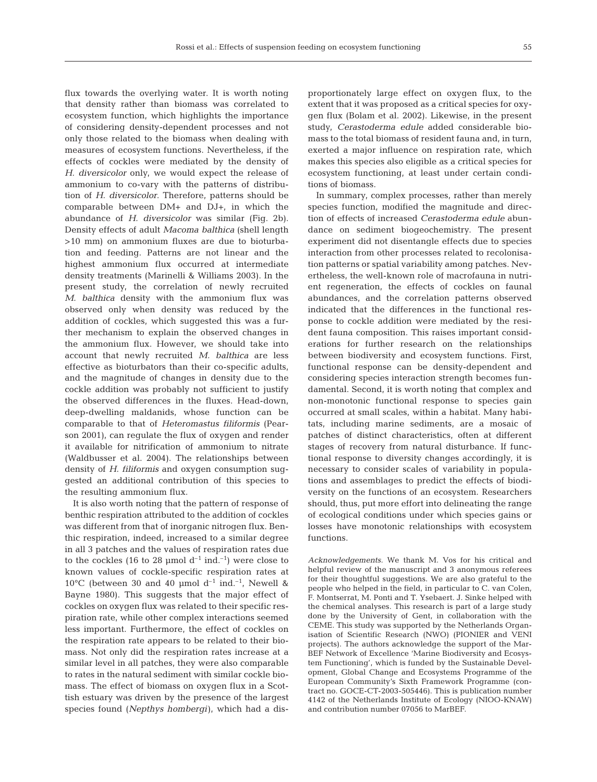flux towards the overlying water. It is worth noting that density rather than biomass was correlated to ecosystem function, which highlights the importance of considering density-dependent processes and not only those related to the biomass when dealing with measures of ecosystem functions. Nevertheless, if the effects of cockles were mediated by the density of *H. diversicolor* only, we would expect the release of ammonium to co-vary with the patterns of distribution of *H. diversicolor*. Therefore, patterns should be comparable between DM+ and DJ+, in which the abundance of *H. diversicolor* was similar (Fig. 2b). Density effects of adult *Macoma balthica* (shell length >10 mm) on ammonium fluxes are due to bioturbation and feeding. Patterns are not linear and the highest ammonium flux occurred at intermediate density treatments (Marinelli & Williams 2003). In the present study, the correlation of newly recruited *M. balthica* density with the ammonium flux was observed only when density was reduced by the addition of cockles, which suggested this was a further mechanism to explain the observed changes in the ammonium flux. However, we should take into account that newly recruited *M. balthica* are less effective as bioturbators than their co-specific adults, and the magnitude of changes in density due to the cockle addition was probably not sufficient to justify the observed differences in the fluxes. Head-down, deep-dwelling maldanids, whose function can be comparable to that of *Heteromastus filiformis* (Pearson 2001), can regulate the flux of oxygen and render it available for nitrification of ammonium to nitrate (Waldbusser et al. 2004). The relationships between density of *H. filiformis* and oxygen consumption suggested an additional contribution of this species to the resulting ammonium flux.

It is also worth noting that the pattern of response of benthic respiration attributed to the addition of cockles was different from that of inorganic nitrogen flux. Benthic respiration, indeed, increased to a similar degree in all 3 patches and the values of respiration rates due to the cockles (16 to 28 µmol  $d^{-1}$  ind.<sup>-1</sup>) were close to known values of cockle-specific respiration rates at 10°C (between 30 and 40 µmol  $d^{-1}$  ind.<sup>-1</sup>, Newell & Bayne 1980). This suggests that the major effect of cockles on oxygen flux was related to their specific respiration rate, while other complex interactions seemed less important. Furthermore, the effect of cockles on the respiration rate appears to be related to their biomass. Not only did the respiration rates increase at a similar level in all patches, they were also comparable to rates in the natural sediment with similar cockle biomass. The effect of biomass on oxygen flux in a Scottish estuary was driven by the presence of the largest species found (*Nepthys hombergi*), which had a disproportionately large effect on oxygen flux, to the extent that it was proposed as a critical species for oxygen flux (Bolam et al. 2002). Likewise, in the present study, *Cerastoderma edule* added considerable biomass to the total biomass of resident fauna and, in turn, exerted a major influence on respiration rate, which makes this species also eligible as a critical species for ecosystem functioning, at least under certain conditions of biomass.

In summary, complex processes, rather than merely species function, modified the magnitude and direction of effects of increased *Cerastoderma edule* abundance on sediment biogeochemistry. The present experiment did not disentangle effects due to species interaction from other processes related to recolonisation patterns or spatial variability among patches. Nevertheless, the well-known role of macrofauna in nutrient regeneration, the effects of cockles on faunal abundances, and the correlation patterns observed indicated that the differences in the functional response to cockle addition were mediated by the resident fauna composition. This raises important considerations for further research on the relationships between biodiversity and ecosystem functions. First, functional response can be density-dependent and considering species interaction strength becomes fundamental. Second, it is worth noting that complex and non-monotonic functional response to species gain occurred at small scales, within a habitat. Many habitats, including marine sediments, are a mosaic of patches of distinct characteristics, often at different stages of recovery from natural disturbance. If functional response to diversity changes accordingly, it is necessary to consider scales of variability in populations and assemblages to predict the effects of biodiversity on the functions of an ecosystem. Researchers should, thus, put more effort into delineating the range of ecological conditions under which species gains or losses have monotonic relationships with ecosystem functions.

*Acknowledgements.* We thank M. Vos for his critical and helpful review of the manuscript and 3 anonymous referees for their thoughtful suggestions. We are also grateful to the people who helped in the field, in particular to C. van Colen, F. Montserrat, M. Ponti and T. Ysebaert. J. Sinke helped with the chemical analyses. This research is part of a large study done by the University of Gent, in collaboration with the CEME. This study was supported by the Netherlands Organisation of Scientific Research (NWO) (PIONIER and VENI projects). The authors acknowledge the support of the Mar-BEF Network of Excellence 'Marine Biodiversity and Ecosystem Functioning', which is funded by the Sustainable Development, Global Change and Ecosystems Programme of the European Community's Sixth Framework Programme (contract no. GOCE-CT-2003-505446). This is publication number 4142 of the Netherlands Institute of Ecology (NIOO-KNAW) and contribution number 07056 to MarBEF.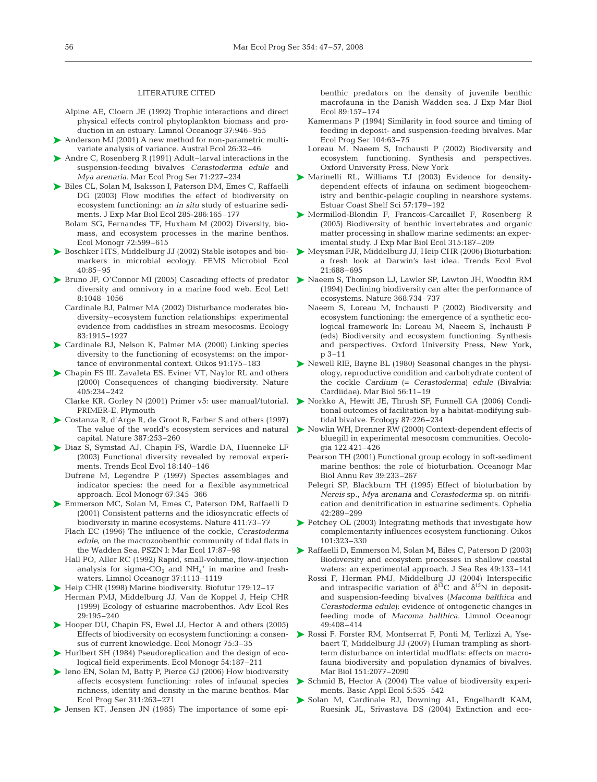## LITERATURE CITED

- Alpine AE, Cloern JE (1992) Trophic interactions and direct physical effects control phytoplankton biomass and production in an estuary. Limnol Oceanogr 37:946–955
- Anderson MJ (2001) A new method for non-parametric multi-➤ variate analysis of variance. Austral Ecol 26:32–46
- Andre C, Rosenberg R (1991) Adult–larval interactions in the ➤ suspension-feeding bivalves *Cerastoderma edule* and *Mya arenaria.* Mar Ecol Prog Ser 71:227–234
- ▶ Biles CL, Solan M, Isaksson I, Paterson DM, Emes C, Raffaelli DG (2003) Flow modifies the effect of biodiversity on ecosystem functioning: an *in situ* study of estuarine sediments. J Exp Mar Biol Ecol 285-286:165–177
	- Bolam SG, Fernandes TF, Huxham M (2002) Diversity, biomass, and ecosystem processes in the marine benthos. Ecol Monogr 72:599–615
- ▶ Boschker HTS, Middelburg JJ (2002) Stable isotopes and biomarkers in microbial ecology. FEMS Microbiol Ecol 40:85–95
- ▶ Bruno JF, O'Connor MI (2005) Cascading effects of predator ▶ Naeem S, Thompson LJ, Lawler SP, Lawton JH, Woodfin RM diversity and omnivory in a marine food web. Ecol Lett 8:1048–1056
	- Cardinale BJ, Palmer MA (2002) Disturbance moderates biodiversity–ecosystem function relationships: experimental evidence from caddisflies in stream mesocosms. Ecology 83:1915–1927
- ▶ Cardinale BJ, Nelson K, Palmer MA (2000) Linking species diversity to the functioning of ecosystems: on the importance of environmental context. Oikos 91:175–183
- ▶ Chapin FS III, Zavaleta ES, Eviner VT, Naylor RL and others (2000) Consequences of changing biodiversity. Nature 405:234–242
	- Clarke KR, Gorley N (2001) Primer v5: user manual/tutorial. PRIMER-E, Plymouth
- Costanza R, d'Arge R, de Groot R, Farber S and others (1997) The value of the world's ecosystem services and natural > Nowlin WH, Drenner RW (2000) Context-dependent effects of capital. Nature 387:253–260 ➤
- ▶ Diaz S, Symstad AJ, Chapin FS, Wardle DA, Huenneke LF (2003) Functional diversity revealed by removal experiments. Trends Ecol Evol 18:140–146
	- Dufrene M, Legendre P (1997) Species assemblages and indicator species: the need for a flexible asymmetrical approach. Ecol Monogr 67:345–366
- ▶ Emmerson MC, Solan M, Emes C, Paterson DM, Raffaelli D (2001) Consistent patterns and the idiosyncratic effects of biodiversity in marine ecosystems. Nature 411:73–77
	- Flach EC (1996) The influence of the cockle, *Cerastoderma edule*, on the macrozoobenthic community of tidal flats in the Wadden Sea. PSZN I: Mar Ecol 17:87–98
	- Hall PO, Aller RC (1992) Rapid, small-volume, flow-injection analysis for sigma- $CO<sub>2</sub>$  and  $NH<sub>4</sub><sup>+</sup>$  in marine and freshwaters. Limnol Oceanogr 37:1113–1119
- ▶ Heip CHR (1998) Marine biodiversity. Biofutur 179:12-17 Herman PMJ, Middelburg JJ, Van de Koppel J, Heip CHR (1999) Ecology of estuarine macrobenthos. Adv Ecol Res 29:195–240
- ▶ Hooper DU, Chapin FS, Ewel JJ, Hector A and others (2005) Effects of biodiversity on ecosystem functioning: a consensus of current knowledge. Ecol Monogr 75:3–35
- ▶ Hurlbert SH (1984) Pseudoreplication and the design of ecological field experiments. Ecol Monogr 54:187–211
- ▶ Ieno EN, Solan M, Batty P, Pierce GJ (2006) How biodiversity affects ecosystem functioning: roles of infaunal species richness, identity and density in the marine benthos. Mar Ecol Prog Ser 311:263–271
- ▶ Jensen KT, Jensen JN (1985) The importance of some epi-

benthic predators on the density of juvenile benthic macrofauna in the Danish Wadden sea. J Exp Mar Biol Ecol 89:157–174

- Kamermans P (1994) Similarity in food source and timing of feeding in deposit- and suspension-feeding bivalves. Mar Ecol Prog Ser 104:63–75
- Loreau M, Naeem S, Inchausti P (2002) Biodiversity and ecosystem functioning. Synthesis and perspectives. Oxford University Press, New York
- Marinelli RL, Williams TJ (2003) Evidence for density-➤ dependent effects of infauna on sediment biogeochemistry and benthic-pelagic coupling in nearshore systems. Estuar Coast Shelf Sci 57:179–192
- ▶ Mermillod-Blondin F, Francois-Carcaillet F, Rosenberg R (2005) Biodiversity of benthic invertebrates and organic matter processing in shallow marine sediments: an experimental study. J Exp Mar Biol Ecol 315:187–209
- Meysman FJR, Middelburg JJ, Heip CHR (2006) Bioturbation: ➤ a fresh look at Darwin's last idea. Trends Ecol Evol 21:688–695
- (1994) Declining biodiversity can alter the performance of ecosystems. Nature 368:734–737
- Naeem S, Loreau M, Inchausti P (2002) Biodiversity and ecosystem functioning: the emergence of a synthetic ecological framework In: Loreau M, Naeem S, Inchausti P (eds) Biodiversity and ecosystem functioning. Synthesis and perspectives. Oxford University Press, New York, p 3–11
- ▶ Newell RIE, Bayne BL (1980) Seasonal changes in the physiology, reproductive condition and carbohydrate content of the cockle *Cardium* (= *Cerastoderma*) *edule* (Bivalvia: Cardiidae). Mar Biol 56:11–19
- ▶ Norkko A, Hewitt JE, Thrush SF, Funnell GA (2006) Conditional outcomes of facilitation by a habitat-modifying subtidal bivalve. Ecology 87:226–234
- bluegill in experimental mesocosm communities. Oecologia 122:421–426
- Pearson TH (2001) Functional group ecology in soft-sediment marine benthos: the role of bioturbation. Oceanogr Mar Biol Annu Rev 39:233–267
- Pelegri SP, Blackburn TH (1995) Effect of bioturbation by *Nereis* sp., *Mya arenaria* and *Cerastoderma* sp. on nitrification and denitrification in estuarine sediments. Ophelia 42:289–299
- ▶ Petchey OL (2003) Integrating methods that investigate how complementarity influences ecosystem functioning. Oikos 101:323–330
- Raffaelli D, Emmerson M, Solan M, Biles C, Paterson D (2003) ➤ Biodiversity and ecosystem processes in shallow coastal waters: an experimental approach. J Sea Res 49:133–141
	- Rossi F, Herman PMJ, Middelburg JJ (2004) Interspecific and intraspecific variation of  $\delta^{13}$ C and  $\delta^{15}$ N in depositand suspension-feeding bivalves (*Macoma balthica* and *Cerastoderma edule*): evidence of ontogenetic changes in feeding mode of *Macoma balthica.* Limnol Oceanogr 49:408–414
- ▶ Rossi F, Forster RM, Montserrat F, Ponti M, Terlizzi A, Ysebaert T, Middelburg JJ (2007) Human trampling as shortterm disturbance on intertidal mudflats: effects on macrofauna biodiversity and population dynamics of bivalves. Mar Biol 151:2077–2090
- ▶ Schmid B, Hector A (2004) The value of biodiversity experiments. Basic Appl Ecol 5:535–542
- Solan M, Cardinale BJ, Downing AL, Engelhardt KAM, ➤Ruesink JL, Srivastava DS (2004) Extinction and eco-